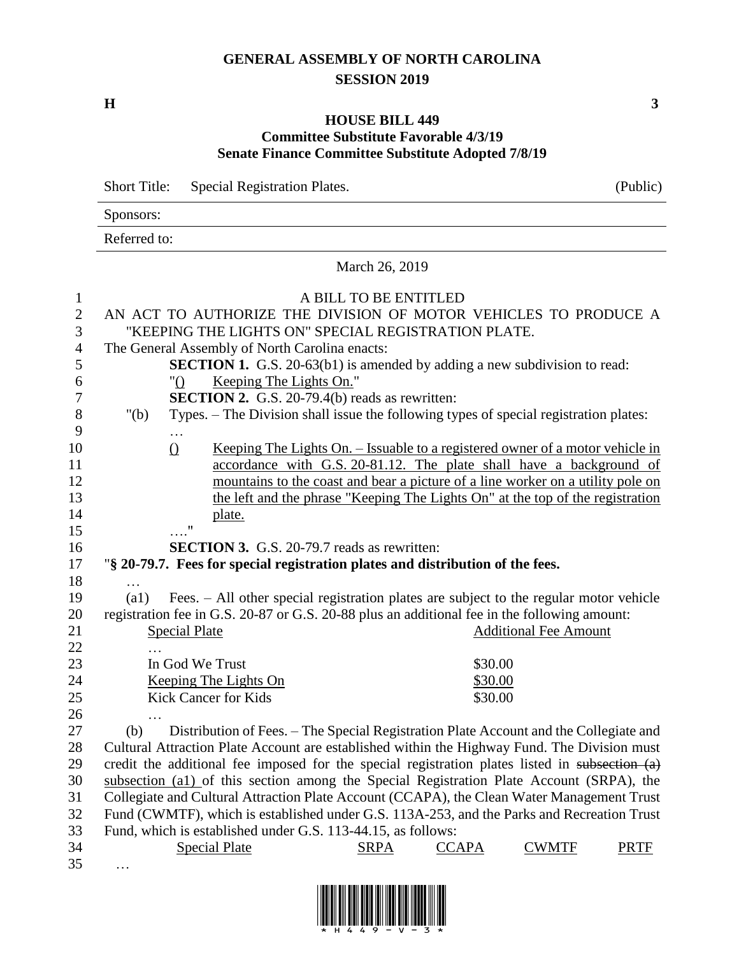## **GENERAL ASSEMBLY OF NORTH CAROLINA SESSION 2019**

**H 3**

## **HOUSE BILL 449 Committee Substitute Favorable 4/3/19 Senate Finance Committee Substitute Adopted 7/8/19**

| <b>Short Title:</b> | <b>Special Registration Plates.</b> | (Public) |
|---------------------|-------------------------------------|----------|
| Sponsors:           |                                     |          |
| Referred to:        |                                     |          |
|                     |                                     |          |

March 26, 2019

| 1              |                                                                 |                                                                                                  |                         | A BILL TO BE ENTITLED |                                                                                      |                              |             |
|----------------|-----------------------------------------------------------------|--------------------------------------------------------------------------------------------------|-------------------------|-----------------------|--------------------------------------------------------------------------------------|------------------------------|-------------|
| $\overline{2}$ | AN ACT TO AUTHORIZE THE DIVISION OF MOTOR VEHICLES TO PRODUCE A |                                                                                                  |                         |                       |                                                                                      |                              |             |
| 3              | "KEEPING THE LIGHTS ON" SPECIAL REGISTRATION PLATE.             |                                                                                                  |                         |                       |                                                                                      |                              |             |
| $\overline{4}$ | The General Assembly of North Carolina enacts:                  |                                                                                                  |                         |                       |                                                                                      |                              |             |
| 5              |                                                                 | <b>SECTION 1.</b> G.S. 20-63(b1) is amended by adding a new subdivision to read:                 |                         |                       |                                                                                      |                              |             |
| 6              |                                                                 | " $\bigcirc$                                                                                     | Keeping The Lights On." |                       |                                                                                      |                              |             |
| 7              |                                                                 | <b>SECTION 2.</b> G.S. 20-79.4(b) reads as rewritten:                                            |                         |                       |                                                                                      |                              |             |
| $8\,$          | " $(b)$                                                         | Types. - The Division shall issue the following types of special registration plates:            |                         |                       |                                                                                      |                              |             |
| 9              |                                                                 |                                                                                                  |                         |                       |                                                                                      |                              |             |
| 10             |                                                                 | $\Omega$                                                                                         |                         |                       | <u>Keeping The Lights On. – Issuable to a registered owner of a motor vehicle in</u> |                              |             |
| 11             |                                                                 |                                                                                                  |                         |                       | accordance with G.S. 20-81.12. The plate shall have a background of                  |                              |             |
| 12             |                                                                 |                                                                                                  |                         |                       | mountains to the coast and bear a picture of a line worker on a utility pole on      |                              |             |
| 13             |                                                                 |                                                                                                  |                         |                       | the left and the phrase "Keeping The Lights On" at the top of the registration       |                              |             |
| 14             |                                                                 | plate.                                                                                           |                         |                       |                                                                                      |                              |             |
| 15             |                                                                 | $\ldots$ <sup>n</sup>                                                                            |                         |                       |                                                                                      |                              |             |
| 16             |                                                                 | <b>SECTION 3.</b> G.S. 20-79.7 reads as rewritten:                                               |                         |                       |                                                                                      |                              |             |
| 17             |                                                                 | "§ 20-79.7. Fees for special registration plates and distribution of the fees.                   |                         |                       |                                                                                      |                              |             |
| 18             |                                                                 |                                                                                                  |                         |                       |                                                                                      |                              |             |
| 19             | $\left( a1\right)$                                              | Fees. - All other special registration plates are subject to the regular motor vehicle           |                         |                       |                                                                                      |                              |             |
| 20             |                                                                 | registration fee in G.S. 20-87 or G.S. 20-88 plus an additional fee in the following amount:     |                         |                       |                                                                                      |                              |             |
| 21             |                                                                 | <b>Special Plate</b>                                                                             |                         |                       |                                                                                      | <b>Additional Fee Amount</b> |             |
| 22             |                                                                 |                                                                                                  |                         |                       |                                                                                      |                              |             |
| 23             |                                                                 | In God We Trust                                                                                  |                         |                       | \$30.00                                                                              |                              |             |
| 24             |                                                                 | Keeping The Lights On                                                                            |                         |                       | \$30.00                                                                              |                              |             |
| 25             |                                                                 | <b>Kick Cancer for Kids</b>                                                                      |                         |                       | \$30.00                                                                              |                              |             |
| 26             |                                                                 |                                                                                                  |                         |                       |                                                                                      |                              |             |
| 27             | (b)                                                             | Distribution of Fees. – The Special Registration Plate Account and the Collegiate and            |                         |                       |                                                                                      |                              |             |
| 28             |                                                                 | Cultural Attraction Plate Account are established within the Highway Fund. The Division must     |                         |                       |                                                                                      |                              |             |
| 29             |                                                                 | credit the additional fee imposed for the special registration plates listed in subsection $(a)$ |                         |                       |                                                                                      |                              |             |
| 30             |                                                                 | subsection (a1) of this section among the Special Registration Plate Account (SRPA), the         |                         |                       |                                                                                      |                              |             |
| 31             |                                                                 | Collegiate and Cultural Attraction Plate Account (CCAPA), the Clean Water Management Trust       |                         |                       |                                                                                      |                              |             |
| 32             |                                                                 | Fund (CWMTF), which is established under G.S. 113A-253, and the Parks and Recreation Trust       |                         |                       |                                                                                      |                              |             |
| 33             |                                                                 | Fund, which is established under G.S. 113-44.15, as follows:                                     |                         |                       |                                                                                      |                              |             |
| 34             |                                                                 | <b>Special Plate</b>                                                                             |                         | <b>SRPA</b>           | <b>CCAPA</b>                                                                         | <b>CWMTF</b>                 | <b>PRTF</b> |

35 …